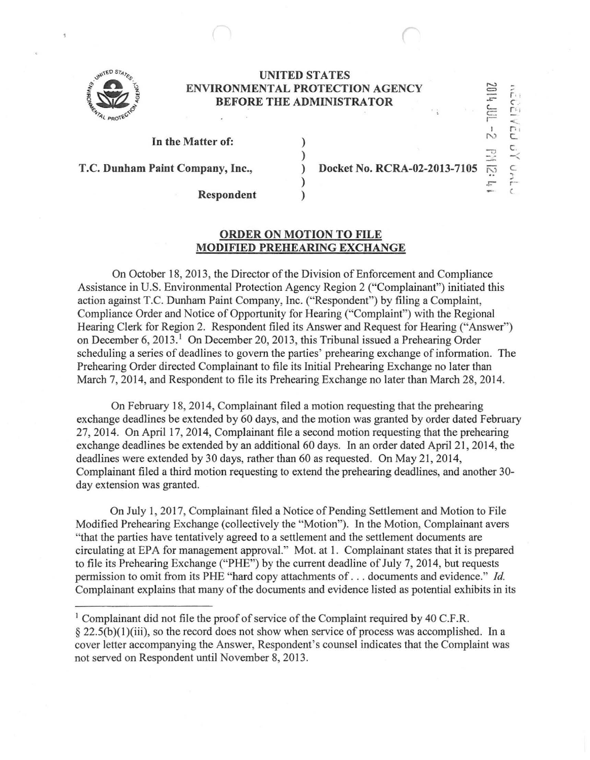

## **UNITED STATES ENVIRONMENTAL PROTECTION AGENCY BEFORE THE ADMINISTRATOR**

) ) ) ) )

## **In the Matter of:**

**T.C. Dunham Paint Company, Inc.,** 

**Docket No. RCRA-02-2013-7105** 

 $\frac{100}{2011}$ 

 $\sqrt{G}$ 

c ~ ... r--  $\epsilon$ 

 $\frac{1}{2}$ 

"'

..

-

**Respondent** 

## **ORDER ON MOTION TO FILE MODIFIED PREHEARING EXCHANGE**

On October 18, 2013, the Director of the Division of Enforcement and Compliance Assistance in U.S. Environmental Protection Agency Region 2 ("Complainant") initiated this action against T.C. Dunham Paint Company, Inc. ("Respondent") by filing a Complaint, Compliance Order and Notice of Opportunity for Hearing ("Complaint") with the Regional Hearing Clerk for Region 2. Respondent filed its Answer and Request for Hearing ("Answer") on December 6, 2013.<sup>1</sup> On December 20, 2013, this Tribunal issued a Prehearing Order scheduling a series of deadlines to govern the parties' prehearing exchange of information. The Prehearing Order directed Complainant to file its Initial Prehearing Exchange no later than March 7, 2014, and Respondent to file its Prehearing Exchange no later than March 28, 2014.

On February 18, 2014, Complainant filed a motion requesting that the prehearing exchange deadlines be extended by 60 days, and the motion was granted by order dated February 27, 2014. On April 17, 2014, Complainant file a second motion requesting that the prehearing exchange deadlines be extended by an additional 60 days. In an order dated April 21, 2014, the deadlines were extended by 30 days, rather than 60 as requested. On May 21, 2014, Complainant filed a third motion requesting to extend the prehearing deadlines, and another 30 day extension was granted.

On July 1, 2017, Complainant filed a Notice of Pending Settlement and Motion to File Modified Prehearing Exchange (collectively the "Motion"). In the Motion, Complainant avers "that the parties have tentatively agreed to a settlement and the settlement documents are circulating at EPA for management approval." Mot. at I. Complainant states that it is prepared to file its Prehearing Exchange ("PHE") by the current deadline of July 7, 2014, but requests permission to omit from its PHE "hard copy attachments of ... documents and evidence." */d.*  Complainant explains that many of the documents and evidence listed as potential exhibits in its

<sup>1</sup> Complainant did not file the proof of service of the Complaint required by 40 C.F.R.  $\S 22.5(b)(1)(iii)$ , so the record does not show when service of process was accomplished. In a cover letter accompanying the Answer, Respondent's counsel indicates that the Complaint was not served on Respondent until November 8, 2013.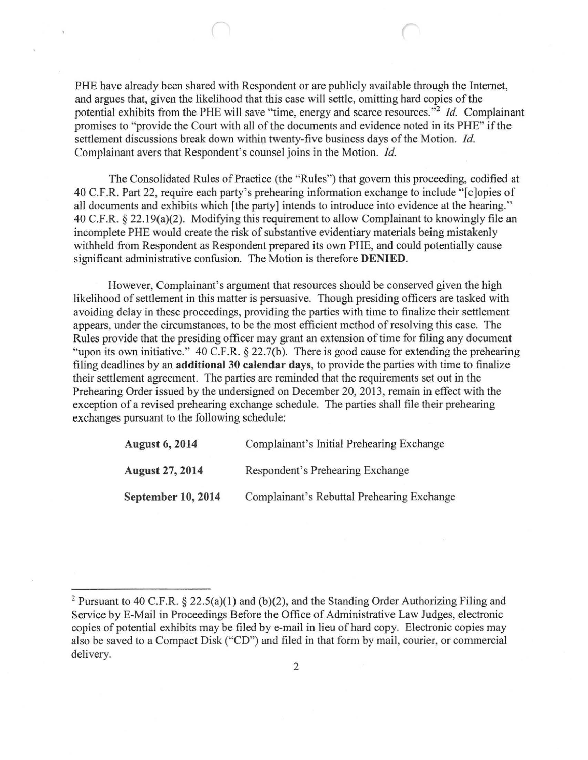PHE have already been shared with Respondent or are publicly available through the Internet, and argues that, given the likelihood that this case will settle, omitting hard copies of the potential exhibits from the PHE will save "time, energy and scarce resources."<sup>2</sup>*!d.* Complainant promises to "provide the Court with all of the documents and evidence noted in its PHE" if the settlement discussions break down within twenty-five business days of the Motion. *!d.*  Complainant avers that Respondent's counsel joins in the Motion. *!d.* 

The Consolidated Rules of Practice (the "Rules") that govern this proceeding, codified at 40 C.F.R. Part 22, require each party's prehearing information exchange to include "[c]opies of all docwnents and exhibits which [the party] intends to introduce into evidence at the hearing." 40 C.F.R.  $\S$  22.19(a)(2). Modifying this requirement to allow Complainant to knowingly file an incomplete PHE would create the risk of substantive evidentiary materials being mistakenly withheld from Respondent as Respondent prepared its own PHE, and could potentially cause significant administrative confusion. The Motion is therefore DENIED.

However, Complainant's argument that resources should be conserved given the high likelihood of settlement in this matter is persuasive. Though presiding officers are tasked with avoiding delay in these proceedings, providing the parties with time to finalize their settlement appears, under the circumstances, to be the most efficient method of resolving this case. The Rules provide that the presiding officer may grant an extension of time for filing any document "upon its own initiative." 40 C.F.R. § 22.7(b). There is good cause for extending the prehearing filing deadlines by an additional 30 calendar days, to provide the parties with time to finalize their settlement agreement. The parties are reminded that the requirements set out in the Prehearing Order issued by the undersigned on December 20, 2013, remain in effect with the exception of a revised prehearing exchange schedule. The parties shall file their prehearing exchanges pursuant to the following schedule:

| <b>August 6, 2014</b><br><b>August 27, 2014</b> | Complainant's Initial Prehearing Exchange<br>Respondent's Prehearing Exchange |
|-------------------------------------------------|-------------------------------------------------------------------------------|
|                                                 |                                                                               |

<sup>&</sup>lt;sup>2</sup> Pursuant to 40 C.F.R. § 22.5(a)(1) and (b)(2), and the Standing Order Authorizing Filing and Service by E-Mail in Proceedings Before the Office of Administrative Law Judges, electronic copies of potential exhibits may be filed by e-mail in lieu of hard copy. Electronic copies may also be saved to a Compact Disk ("CD") and filed in that form by mail, courier, or commercial delivery.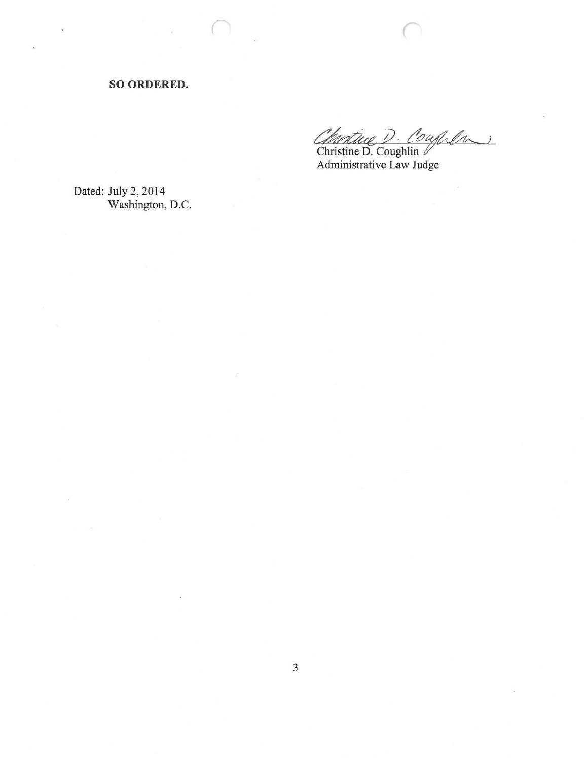**SO ORDERED.** 

*Churtine D. Coughlin* 

*r* 

Administrative Law Judge

Dated: July 2, 2014 Washington, D.C.